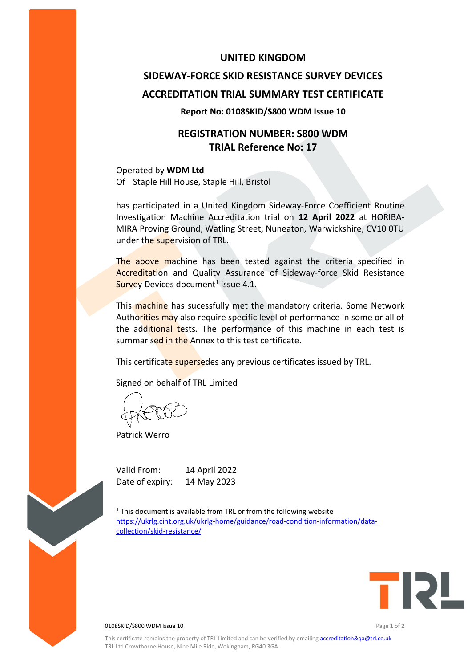### **UNITED KINGDOM**

# **SIDEWAY-FORCE SKID RESISTANCE SURVEY DEVICES ACCREDITATION TRIAL SUMMARY TEST CERTIFICATE**

#### **Report No: 0108SKID/S800 WDM Issue 10**

# **REGISTRATION NUMBER: S800 WDM TRIAL Reference No: 17**

Operated by **WDM Ltd** Of Staple Hill House, Staple Hill, Bristol

has participated in a United Kingdom Sideway-Force Coefficient Routine Investigation Machine Accreditation trial on **12 April 2022** at HORIBA-MIRA Proving Ground, Watling Street, Nuneaton, Warwickshire, CV10 0TU under the supervision of TRL.

The above machine has been tested against the criteria specified in Accreditation and Quality Assurance of Sideway-force Skid Resistance Survey Devices document<sup>1</sup> issue 4.1.

This machine has sucessfully met the mandatory criteria. Some Network Authorities may also require specific level of performance in some or all of the additional tests. The performance of this machine in each test is summarised in the Annex to this test certificate.

This certificate supersedes any previous certificates issued by TRL.

Signed on behalf of TRL Limited

Patrick Werro

Valid From: 14 April 2022 Date of expiry: 14 May 2023

 $1$ <sup>1</sup> This document is available from TRL or from the following website [https://ukrlg.ciht.org.uk/ukrlg-home/guidance/road-condition-information/data](https://ukrlg.ciht.org.uk/ukrlg-home/guidance/road-condition-information/data-collection/skid-resistance/)[collection/skid-resistance/](https://ukrlg.ciht.org.uk/ukrlg-home/guidance/road-condition-information/data-collection/skid-resistance/)



0108SKID/S800 WDM Issue 10 Page **1** of **2**